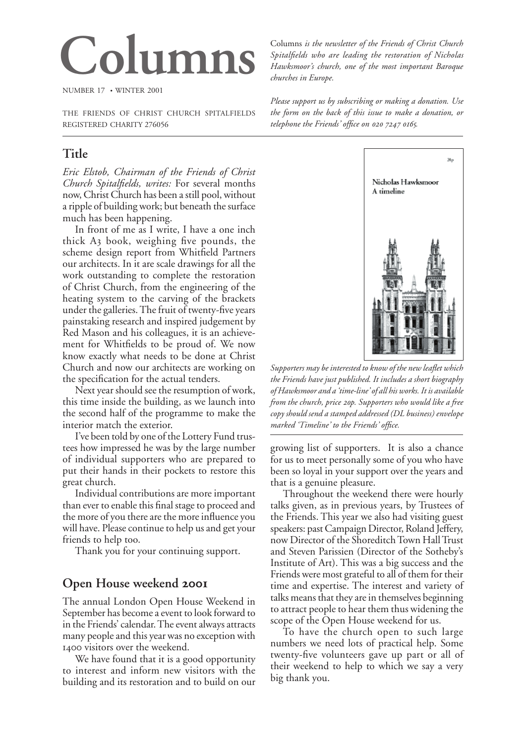# **Columns**

NUMBER 17 • WINTER 2001

THE FRIENDS OF CHRIST CHURCH SPITALFIELDS REGISTERED CHARITY 276056

# **Title**

*Eric Elstob, Chairman of the Friends of Christ Church Spitalfields, writes:* For several months now, Christ Church has been a still pool, without a ripple of building work; but beneath the surface much has been happening.

In front of me as I write, I have a one inch thick  $A_3$  book, weighing five pounds, the scheme design report from Whitfield Partners our architects. In it are scale drawings for all the work outstanding to complete the restoration of Christ Church, from the engineering of the heating system to the carving of the brackets under the galleries. The fruit of twenty-five years painstaking research and inspired judgement by Red Mason and his colleagues, it is an achievement for Whitfields to be proud of. We now know exactly what needs to be done at Christ Church and now our architects are working on the specification for the actual tenders.

Next year should see the resumption of work, this time inside the building, as we launch into the second half of the programme to make the interior match the exterior.

I've been told by one of the Lottery Fund trustees how impressed he was by the large number of individual supporters who are prepared to put their hands in their pockets to restore this great church.

Individual contributions are more important than ever to enable this final stage to proceed and the more of you there are the more influence you will have. Please continue to help us and get your friends to help too.

Thank you for your continuing support.

### **Open House weekend**

The annual London Open House Weekend in September has become a event to look forward to in the Friends' calendar. The event always attracts many people and this year was no exception with 1400 visitors over the weekend.

We have found that it is a good opportunity to interest and inform new visitors with the building and its restoration and to build on our Columns *is the newsletter of the Friends of Christ Church Spitalfields who are leading the restoration of Nicholas Hawksmoor's church, one of the most important Baroque churches in Europe.*

*Please support us by subscribing or making a donation. Use the form on the back of this issue to make a donation, or telephone the Friends' office on 020 7247 0165.* 



*Supporters may be interested to know of the new leaflet which the Friends have just published. It includes a short biography of Hawksmoor and a 'time-line' of all his works. It is available from the church, price p. Supporters who would like a free copy should send a stamped addressed (DL business) envelope marked 'Timeline' to the Friends' office.*

growing list of supporters. It is also a chance for us to meet personally some of you who have been so loyal in your support over the years and that is a genuine pleasure.

Throughout the weekend there were hourly talks given, as in previous years, by Trustees of the Friends. This year we also had visiting guest speakers: past Campaign Director, Roland Jeffery, now Director of the Shoreditch Town Hall Trust and Steven Parissien (Director of the Sotheby's Institute of Art). This was a big success and the Friends were most grateful to all of them for their time and expertise. The interest and variety of talks means that they are in themselves beginning to attract people to hear them thus widening the scope of the Open House weekend for us.

To have the church open to such large numbers we need lots of practical help. Some twenty-five volunteers gave up part or all of their weekend to help to which we say a very big thank you.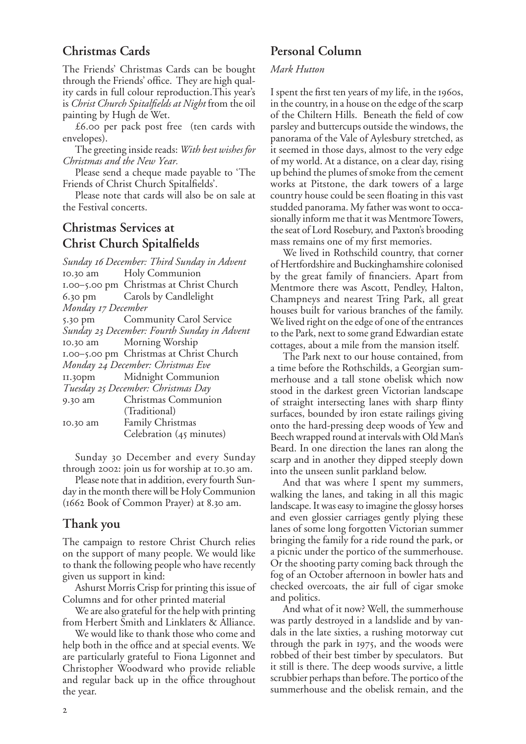## **Christmas Cards**

The Friends' Christmas Cards can be bought through the Friends' office. They are high quality cards in full colour reproduction.This year's is *Christ Church Spitalfields at Night* from the oil painting by Hugh de Wet.

 $£6.$ oo per pack post free (ten cards with envelopes).

The greeting inside reads: *With best wishes for Christmas and the New Year.*

Please send a cheque made payable to 'The Friends of Christ Church Spitalfields'.

Please note that cards will also be on sale at the Festival concerts.

# **Christmas Services at Christ Church Spitalfields**

*Sunday December: Third Sunday in Advent* 10.30 am Holy Communion 1.00-5.00 pm Christmas at Christ Church 6.30 pm Carols by Candlelight *Monday December* 5.30 pm Community Carol Service *Sunday December: Fourth Sunday in Advent* 10.30 am Morning Worship 1.00-5.00 pm Christmas at Christ Church *Monday December: Christmas Eve* 11.30pm Midnight Communion *Tuesday December: Christmas Day* 9.30 am Christmas Communion (Traditional) 10.30 am Family Christmas Celebration (45 minutes)

Sunday December and every Sunday through 2002: join us for worship at 10.30 am.

Please note that in addition, every fourth Sunday in the month there will be Holy Communion  $(1662$  Book of Common Prayer) at 8.30 am.

#### **Thank you**

The campaign to restore Christ Church relies on the support of many people. We would like to thank the following people who have recently given us support in kind:

Ashurst Morris Crisp for printing this issue of Columns and for other printed material

We are also grateful for the help with printing from Herbert Smith and Linklaters & Alliance.

We would like to thank those who come and help both in the office and at special events. We are particularly grateful to Fiona Ligonnet and Christopher Woodward who provide reliable and regular back up in the office throughout the year.

# **Personal Column**

#### *Mark Hutton*

I spent the first ten years of my life, in the 1960s, in the country, in a house on the edge of the scarp of the Chiltern Hills. Beneath the field of cow parsley and buttercups outside the windows, the panorama of the Vale of Aylesbury stretched, as it seemed in those days, almost to the very edge of my world. At a distance, on a clear day, rising up behind the plumes of smoke from the cement works at Pitstone, the dark towers of a large country house could be seen floating in this vast studded panorama. My father was wont to occasionally inform me that it was Mentmore Towers, the seat of Lord Rosebury, and Paxton's brooding mass remains one of my first memories.

We lived in Rothschild country, that corner of Hertfordshire and Buckinghamshire colonised by the great family of financiers. Apart from Mentmore there was Ascott, Pendley, Halton, Champneys and nearest Tring Park, all great houses built for various branches of the family. We lived right on the edge of one of the entrances to the Park, next to some grand Edwardian estate cottages, about a mile from the mansion itself.

The Park next to our house contained, from a time before the Rothschilds, a Georgian summerhouse and a tall stone obelisk which now stood in the darkest green Victorian landscape of straight intersecting lanes with sharp flinty surfaces, bounded by iron estate railings giving onto the hard-pressing deep woods of Yew and Beech wrapped round at intervals with Old Man's Beard. In one direction the lanes ran along the scarp and in another they dipped steeply down into the unseen sunlit parkland below.

And that was where I spent my summers, walking the lanes, and taking in all this magic landscape. It was easy to imagine the glossy horses and even glossier carriages gently plying these lanes of some long forgotten Victorian summer bringing the family for a ride round the park, or a picnic under the portico of the summerhouse. Or the shooting party coming back through the fog of an October afternoon in bowler hats and checked overcoats, the air full of cigar smoke and politics.

And what of it now? Well, the summerhouse was partly destroyed in a landslide and by vandals in the late sixties, a rushing motorway cut through the park in 1975, and the woods were robbed of their best timber by speculators. But it still is there. The deep woods survive, a little scrubbier perhaps than before. The portico of the summerhouse and the obelisk remain, and the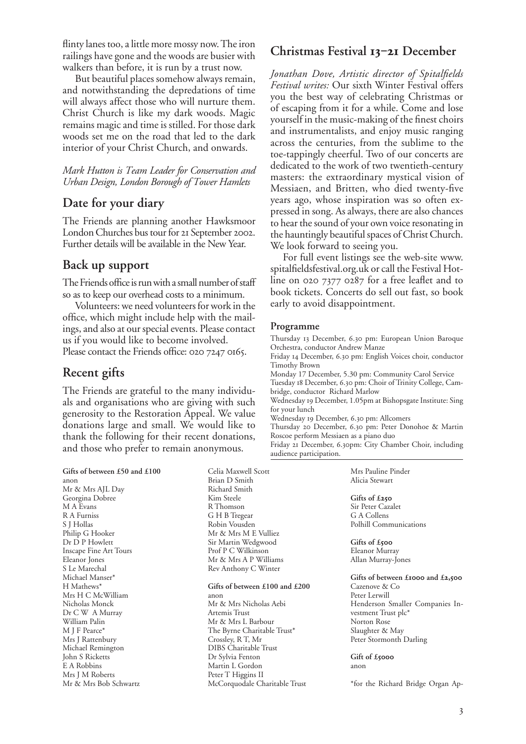flinty lanes too, a little more mossy now. The iron railings have gone and the woods are busier with walkers than before, it is run by a trust now.

But beautiful places somehow always remain, and notwithstanding the depredations of time will always affect those who will nurture them. Christ Church is like my dark woods. Magic remains magic and time is stilled. For those dark woods set me on the road that led to the dark interior of your Christ Church, and onwards.

*Mark Hutton is Team Leader for Conservation and Urban Design, London Borough of Tower Hamlets*

#### **Date for your diary**

The Friends are planning another Hawksmoor London Churches bus tour for 21 September 2002. Further details will be available in the New Year.

#### **Back up support**

The Friends office is run with a small number of staff so as to keep our overhead costs to a minimum.

Volunteers: we need volunteers for work in the office, which might include help with the mailings, and also at our special events. Please contact us if you would like to become involved. Please contact the Friends office: 020 7247 0165.

#### **Recent gifts**

Mrs J Rattenbury Michael Remington John S Ricketts E A Robbins Mrs J M Roberts Mr & Mrs Bob Schwartz

The Friends are grateful to the many individuals and organisations who are giving with such generosity to the Restoration Appeal. We value donations large and small. We would like to thank the following for their recent donations, and those who prefer to remain anonymous.

**Gifts of between £50 and £100** anon Mr & Mrs AJL Day Georgina Dobree M A Evans R A Furniss S J Hollas Philip G Hooker Dr D P Howlett Inscape Fine Art Tours Eleanor Jones S Le Marechal Michael Manser\* H Mathews\* Mrs H C McWilliam Nicholas Monck Dr C W A Murray William Palin M J F Pearce\*

Celia Maxwell Scott Brian D Smith Richard Smith Kim Steele R Thomson G H B Tregear Robin Vousden Mr & Mrs M E Vulliez Sir Martin Wedgwood Prof P C Wilkinson Mr & Mrs A P Williams Rev Anthony C Winter **Gifts of between £100 and £200**

anon Mr & Mrs Nicholas Aebi Artemis Trust Mr & Mrs L Barbour The Byrne Charitable Trust\* Crossley, R T, Mr DIBS Charitable Trust Dr Sylvia Fenton Martin L Gordon Peter T Higgins II McCorquodale Charitable Trust

## **Christmas Festival 13-21 December**

*Jonathan Dove, Artistic director of Spitalfields Festival writes:* Our sixth Winter Festival offers you the best way of celebrating Christmas or of escaping from it for a while. Come and lose yourself in the music-making of the finest choirs and instrumentalists, and enjoy music ranging across the centuries, from the sublime to the toe-tappingly cheerful. Two of our concerts are dedicated to the work of two twentieth-century masters: the extraordinary mystical vision of Messiaen, and Britten, who died twenty-five years ago, whose inspiration was so often expressed in song. As always, there are also chances to hear the sound of your own voice resonating in the hauntingly beautiful spaces of Christ Church. We look forward to seeing you.

For full event listings see the web-site www. spitalfieldsfestival.org.uk or call the Festival Hotline on  $02073770287$  for a free leaflet and to book tickets. Concerts do sell out fast, so book early to avoid disappointment.

#### **Programme**

Thursday 13 December, 6.30 pm: European Union Baroque Orchestra, conductor Andrew Manze Friday 14 December, 6.30 pm: English Voices choir, conductor Timothy Brown Monday 17 December, 5.30 pm: Community Carol Service Tuesday 18 December, 6.30 pm: Choir of Trinity College, Cambridge, conductor Richard Marlow Wednesday 19 December, 1.05pm at Bishopsgate Institute: Sing for your lunch Wednesday 19 December, 6.30 pm: Allcomers Thursday 20 December, 6.30 pm: Peter Donohoe & Martin Roscoe perform Messiaen as a piano duo Friday 21 December, 6.30pm: City Chamber Choir, including

audience participation. Mrs Pauline Pinder

Alicia Stewart

**Gifts of £** Sir Peter Cazalet G A Collens Polhill Communications

**Gifts of £** Eleanor Murray Allan Murray-Jones

Gifts of between £**1000** and £2,500 Cazenove & Co

Peter Lerwill Henderson Smaller Companies Investment Trust plc\* Norton Rose Slaughter & May Peter Stormonth Darling

**Gift of £** anon

\*for the Richard Bridge Organ Ap-